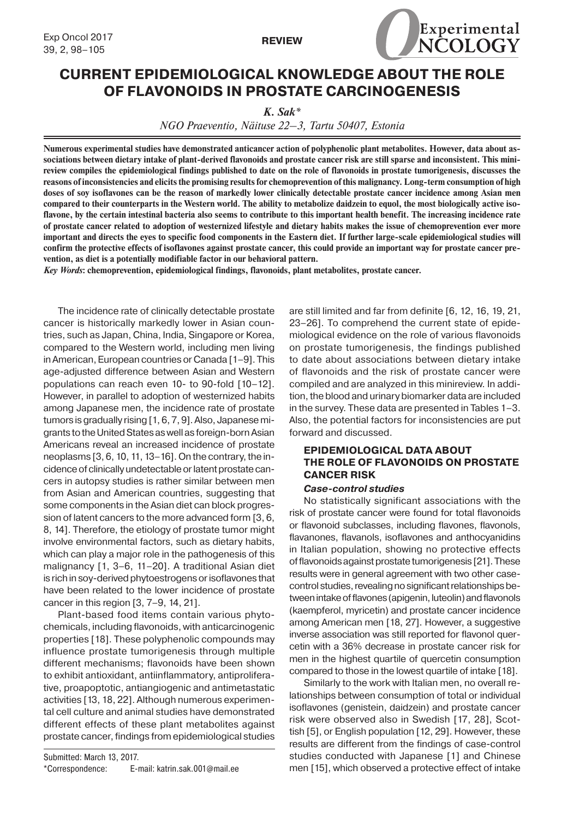

# **CURRENT EPIDEMIOLOGICAL KNOWLEDGE ABOUT THE ROLE OF FLAVONOIDS IN PROSTATE CARCINOGENESIS**

*K. Sak\**

*NGO Praeventio, Näituse 22–3, Tartu 50407, Estonia*

**Numerous experimental studies have demonstrated anticancer action of polyphenolic plant metabolites. However, data about associations between dietary intake of plant-derived flavonoids and prostate cancer risk are still sparse and inconsistent. This minireview compiles the epidemiological findings published to date on the role of flavonoids in prostate tumorigenesis, discusses the reasons of inconsistencies and elicits the promising results for chemoprevention of this malignancy. Long-term consumption of high doses of soy isoflavones can be the reason of markedly lower clinically detectable prostate cancer incidence among Asian men compared to their counterparts in the Western world. The ability to metabolize daidzein to equol, the most biologically active isoflavone, by the certain intestinal bacteria also seems to contribute to this important health benefit. The increasing incidence rate of prostate cancer related to adoption of westernized lifestyle and dietary habits makes the issue of chemoprevention ever more important and directs the eyes to specific food components in the Eastern diet. If further large-scale epidemiological studies will confirm the protective effects of isoflavones against prostate cancer, this could provide an important way for prostate cancer prevention, as diet is a potentially modifiable factor in our behavioral pattern.**

*Key Words***: chemoprevention, epidemiological findings, flavonoids, plant metabolites, prostate cancer.**

The incidence rate of clinically detectable prostate cancer is historically markedly lower in Asian countries, such as Japan, China, India, Singapore or Korea, compared to the Western world, including men living in American, European countries or Canada [1–9]. This age-adjusted difference between Asian and Western populations can reach even 10- to 90-fold [10–12]. However, in parallel to adoption of westernized habits among Japanese men, the incidence rate of prostate tumors is gradually rising [1, 6, 7, 9]. Also, Japanese migrants to the United States as well as foreign-born Asian Americans reveal an increased incidence of prostate neoplasms [3, 6, 10, 11, 13–16]. On the contrary, the incidence of clinically undetectable or latent prostate cancers in autopsy studies is rather similar between men from Asian and American countries, suggesting that some components in the Asian diet can block progression of latent cancers to the more advanced form [3, 6, 8, 14]. Therefore, the etiology of prostate tumor might involve environmental factors, such as dietary habits, which can play a major role in the pathogenesis of this malignancy [1, 3–6, 11–20]. A traditional Asian diet is rich in soy-derived phytoestrogens or isoflavones that have been related to the lower incidence of prostate cancer in this region [3, 7–9, 14, 21].

Plant-based food items contain various phytochemicals, including flavonoids, with anticarcinogenic properties [18]. These polyphenolic compounds may influence prostate tumorigenesis through multiple different mechanisms; flavonoids have been shown to exhibit antioxidant, antiinflammatory, antiproliferative, proapoptotic, antiangiogenic and antimetastatic activities [13, 18, 22]. Although numerous experimental cell culture and animal studies have demonstrated different effects of these plant metabolites against prostate cancer, findings from epidemiological studies

Submitted: March 13, 2017. \*Correspondence: E-mail: katrin.sak.001@mail.ee are still limited and far from definite [6, 12, 16, 19, 21, 23–26]. To comprehend the current state of epidemiological evidence on the role of various flavonoids on prostate tumorigenesis, the findings published to date about associations between dietary intake of flavonoids and the risk of prostate cancer were compiled and are analyzed in this minireview. In addition, the blood and urinary biomarker data are included in the survey. These data are presented in Tables 1–3. Also, the potential factors for inconsistencies are put forward and discussed.

## **EPIDEMIOLOGICAL DATA ABOUT THE ROLE OF FLAVONOIDS ON PROSTATE CANCER RISK**

#### *Case-control studies*

No statistically significant associations with the risk of prostate cancer were found for total flavonoids or flavonoid subclasses, including flavones, flavonols, flavanones, flavanols, isoflavones and anthocyanidins in Italian population, showing no protective effects of flavonoids against prostate tumorigenesis [21]. These results were in general agreement with two other casecontrol studies, revealing no significant relationships between intake of flavones (apigenin, luteolin) and flavonols (kaempferol, myricetin) and prostate cancer incidence among American men [18, 27]. However, a suggestive inverse association was still reported for flavonol quercetin with a 36% decrease in prostate cancer risk for men in the highest quartile of quercetin consumption compared to those in the lowest quartile of intake [18].

Similarly to the work with Italian men, no overall relationships between consumption of total or individual isoflavones (genistein, daidzein) and prostate cancer risk were observed also in Swedish [17, 28], Scottish [5], or English population [12, 29]. However, these results are different from the findings of case-control studies conducted with Japanese [1] and Chinese men [15], which observed a protective effect of intake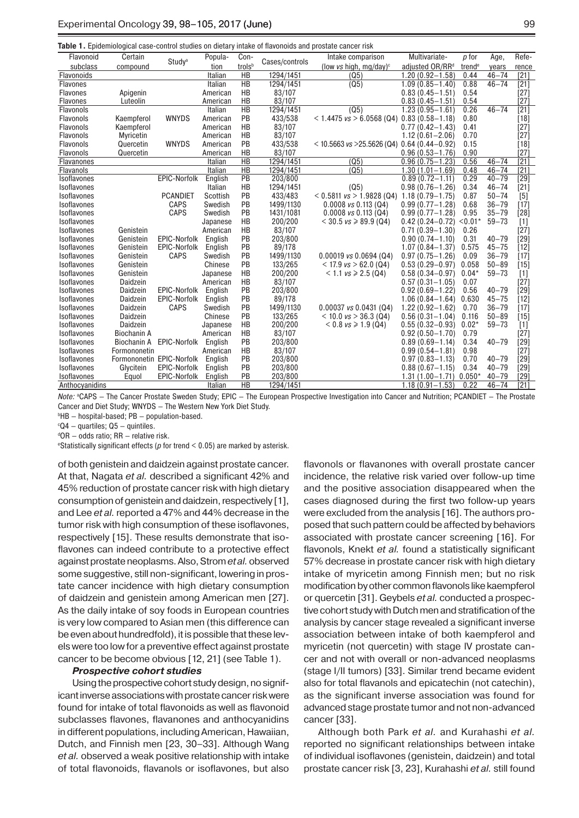| Table 1. Epidemiological case-control studies on dietary intake of flavonoids and prostate cancer risk |  |
|--------------------------------------------------------------------------------------------------------|--|
|--------------------------------------------------------------------------------------------------------|--|

| Flavonoid        | Certain                   | Study <sup>a</sup>  | Popula-  | Con-            | Cases/controls | Intake comparison                | Multivariate-               | p for              | Age,      | Refe-             |
|------------------|---------------------------|---------------------|----------|-----------------|----------------|----------------------------------|-----------------------------|--------------------|-----------|-------------------|
| subclass         | compound                  |                     | tion     | trolsb          |                | (low vs high, mg/day) $\text{C}$ | adjusted OR/RR <sup>d</sup> | trend <sup>e</sup> | years     | rence             |
| Flavonoids       |                           |                     | Italian  | HB              | 1294/1451      | (Q5)                             | 1.20 (0.92-1.58)            | 0.44               | $46 - 74$ | [21]              |
| Flavones         |                           |                     | Italian  | $\overline{HB}$ | 1294/1451      | (Q5)                             | $1.09(0.85 - 1.40)$         | 0.88               | $46 - 74$ | [21]              |
| <b>Flavones</b>  | Apigenin                  |                     | American | HB              | 83/107         |                                  | $0.83(0.45 - 1.51)$         | 0.54               |           | [27]              |
| <b>Flavones</b>  | Luteolin                  |                     | American | HB              | 83/107         |                                  | $0.83(0.45 - 1.51)$         | 0.54               |           | [27]              |
| <b>Flavonols</b> |                           |                     | Italian  | $\overline{HB}$ | 1294/1451      | (Q5)                             | $1.23(0.95 - 1.61)$         | 0.26               | $46 - 74$ | $[21]$            |
| Flavonols        | Kaempferol                | <b>WNYDS</b>        | American | PB              | 433/538        | < 1.4475 $vs > 6.0568$ (Q4)      | $0.83(0.58 - 1.18)$         | 0.80               |           | [18]              |
| <b>Flavonols</b> | Kaempferol                |                     | American | HB              | 83/107         |                                  | $0.77(0.42 - 1.43)$         | 0.41               |           | $[27]$            |
| <b>Flavonols</b> | Myricetin                 |                     | American | HB              | 83/107         |                                  | $1.12(0.61 - 2.06)$         | 0.70               |           | [27]              |
| Flavonols        | Quercetin                 | <b>WNYDS</b>        | American | PB              | 433/538        | $<$ 10.5663 vs > 25.5626 (Q4)    | $0.64(0.44 - 0.92)$         | 0.15               |           | [18]              |
| <b>Flavonols</b> | Quercetin                 |                     | American | HB              | 83/107         |                                  | $0.96(0.53 - 1.76)$         | 0.90               |           | [27]              |
| Flavanones       |                           |                     | Italian  | $\overline{HB}$ | 1294/1451      | (Q5)                             | $0.96(0.75 - 1.23)$         | 0.56               | $46 - 74$ | $\overline{[21]}$ |
| Flavanols        |                           |                     | Italian  | <b>HB</b>       | 1294/1451      | (Q5)                             | $1.30(1.01 - 1.69)$         | 0.48               | $46 - 74$ | [21]              |
| Isoflavones      |                           | <b>EPIC-Norfolk</b> | English  | $\overline{PB}$ | 203/800        |                                  | $0.89(0.72 - 1.11)$         | 0.29               | $40 - 79$ | $\overline{[29]}$ |
| Isoflavones      |                           |                     | Italian  | HB              | 1294/1451      | (Q5)                             | $0.98(0.76 - 1.26)$         | 0.34               | $46 - 74$ | $[21]$            |
| Isoflavones      |                           | <b>PCANDIET</b>     | Scottish | PB              | 433/483        | $< 0.5811$ vs $> 1.9828$ (Q4)    | $1.18(0.79 - 1.75)$         | 0.87               | $50 - 74$ | [5]               |
| Isoflavones      |                           | <b>CAPS</b>         | Swedish  | PB              | 1499/1130      | $0.0008$ vs $0.113$ (Q4)         | $0.99(0.77 - 1.28)$         | 0.68               | $36 - 79$ | [17]              |
| Isoflavones      |                           | <b>CAPS</b>         | Swedish  | PB              | 1431/1081      | $0.0008$ vs $0.113$ (Q4)         | $0.99(0.77 - 1.28)$         | 0.95               | $35 - 79$ | [28]              |
| Isoflavones      |                           |                     | Japanese | HB              | 200/200        | $<$ 30.5 vs $\geq$ 89.9 (Q4)     | $0.42(0.24 - 0.72)$         | $< 0.01*$          | $59 - 73$ | $[1]$             |
| Isoflavones      | Genistein                 |                     | American | HB              | 83/107         |                                  | $0.71(0.39 - 1.30)$         | 0.26               |           | [27]              |
| Isoflavones      | Genistein                 | <b>EPIC-Norfolk</b> | English  | PB              | 203/800        |                                  | $0.90(0.74 - 1.10)$         | 0.31               | $40 - 79$ | [29]              |
| Isoflavones      | Genistein                 | <b>EPIC-Norfolk</b> | English  | PB              | 89/178         |                                  | $1.07(0.84 - 1.37)$         | 0.575              | $45 - 75$ | [12]              |
| Isoflavones      | Genistein                 | <b>CAPS</b>         | Swedish  | PB              | 1499/1130      | $0.00019$ vs $0.0694$ (Q4)       | $0.97(0.75 - 1.26)$         | 0.09               | $36 - 79$ | $[17]$            |
| Isoflavones      | Genistein                 |                     | Chinese  | PB              | 133/265        | $<$ 17.9 vs $>$ 62.0 (Q4)        | $0.53(0.29 - 0.97)$         | 0.058              | $50 - 89$ | [15]              |
| Isoflavones      | Genistein                 |                     | Japanese | HB              | 200/200        | $< 1.1$ vs $\ge 2.5$ (Q4)        | $0.58(0.34 - 0.97)$         | $0.04*$            | $59 - 73$ | [1]               |
| Isoflavones      | Daidzein                  |                     | American | HB              | 83/107         |                                  | $0.57(0.31 - 1.05)$         | 0.07               |           | $[27]$            |
| Isoflavones      | Daidzein                  | <b>EPIC-Norfolk</b> | English  | PB              | 203/800        |                                  | $0.92(0.69 - 1.22)$         | 0.56               | $40 - 79$ | [29]              |
| Isoflavones      | Daidzein                  | EPIC-Norfolk        | English  | PB              | 89/178         |                                  | $1.06(0.84 - 1.64)$         | 0.630              | $45 - 75$ | $[12]$            |
| Isoflavones      | Daidzein                  | <b>CAPS</b>         | Swedish  | PB              | 1499/1130      | $0.00037$ vs $0.0431$ (Q4)       | $1.22(0.92 - 1.62)$         | 0.70               | $36 - 79$ | [17]              |
| Isoflavones      | Daidzein                  |                     | Chinese  | PB              | 133/265        | $<$ 10.0 vs $>$ 36.3 (Q4)        | $0.56(0.31 - 1.04)$         | 0.116              | $50 - 89$ | [15]              |
| Isoflavones      | Daidzein                  |                     | Japanese | HB              | 200/200        | $< 0.8$ vs $\ge 1.9$ (Q4)        | $0.55(0.32 - 0.93)$         | $0.02*$            | $59 - 73$ | $[1]$             |
| Isoflavones      | <b>Biochanin A</b>        |                     | American | HB              | 83/107         |                                  | $0.92(0.50 - 1.70)$         | 0.79               |           | [27]              |
| Isoflavones      | <b>Biochanin A</b>        | <b>EPIC-Norfolk</b> | English  | PB              | 203/800        |                                  | $0.89(0.69 - 1.14)$         | 0.34               | $40 - 79$ | [29]              |
| Isoflavones      | Formononetin              |                     | American | HB              | 83/107         |                                  | $0.99(0.54 - 1.81)$         | 0.98               |           | $[27]$            |
| Isoflavones      | Formononetin EPIC-Norfolk |                     | English  | PB              | 203/800        |                                  | $0.97(0.83 - 1.13)$         | 0.70               | $40 - 79$ | [29]              |
| Isoflavones      | Glycitein                 | <b>EPIC-Norfolk</b> | English  | PB              | 203/800        |                                  | $0.88(0.67 - 1.15)$         | 0.34               | $40 - 79$ | [29]              |
| Isoflavones      | Equol                     | EPIC-Norfolk        | English  | PB              | 203/800        |                                  | $1.31(1.00 - 1.71)$         | $0.050*$           | $40 - 79$ | [29]              |
| Anthocyanidins   |                           |                     | Italian  | HB              | 1294/1451      |                                  | $1.18(0.91 - 1.53)$         | 0.22               | $46 - 74$ | $[21]$            |

*Note:* <sup>a</sup> CAPS — The Cancer Prostate Sweden Study; EPIC — The European Prospective Investigation into Cancer and Nutrition; PCANDIET — The Prostate Cancer and Diet Study; WNYDS — The Western New York Diet Study.

b HB — hospital-based; PB — population-based.

c Q4 — quartiles; Q5 — quintiles.

d OR — odds ratio; RR — relative risk.

e Statistically significant effects (*p* for trend < 0.05) are marked by asterisk.

of both genistein and daidzein against prostate cancer. At that, Nagata *et al.* described a significant 42% and 45% reduction of prostate cancer risk with high dietary consumption of genistein and daidzein, respectively [1], and Lee *et al.* reported a 47% and 44% decrease in the tumor risk with high consumption of these isoflavones, respectively [15]. These results demonstrate that isoflavones can indeed contribute to a protective effect against prostate neoplasms. Also, Strom *et al.* observed some suggestive, still non-significant, lowering in prostate cancer incidence with high dietary consumption of daidzein and genistein among American men [27]. As the daily intake of soy foods in European countries is very low compared to Asian men (this difference can be even about hundredfold), it is possible that these levels were too low for a preventive effect against prostate cancer to be become obvious [12, 21] (see Table 1).

#### *Prospective cohort studies*

Using the prospective cohort study design, no significant inverse associations with prostate cancer risk were found for intake of total flavonoids as well as flavonoid subclasses flavones, flavanones and anthocyanidins in different populations, including American, Hawaiian, Dutch, and Finnish men [23, 30–33]. Although Wang *et al.* observed a weak positive relationship with intake of total flavonoids, flavanols or isoflavones, but also

flavonols or flavanones with overall prostate cancer incidence, the relative risk varied over follow-up time and the positive association disappeared when the cases diagnosed during the first two follow-up years were excluded from the analysis [16]. The authors proposed that such pattern could be affected by behaviors associated with prostate cancer screening [16]. For flavonols, Knekt *et al.* found a statistically significant 57% decrease in prostate cancer risk with high dietary intake of myricetin among Finnish men; but no risk modification by other common flavonols like kaempferol or quercetin [31]. Geybels *et al.* conducted a prospective cohort study with Dutch men and stratification of the analysis by cancer stage revealed a significant inverse association between intake of both kaempferol and myricetin (not quercetin) with stage IV prostate cancer and not with overall or non-advanced neoplasms (stage I/II tumors) [33]. Similar trend became evident also for total flavanols and epicatechin (not catechin), as the significant inverse association was found for advanced stage prostate tumor and not non-advanced cancer [33].

Although both Park *et al.* and Kurahashi *et al.* reported no significant relationships between intake of individual isoflavones (genistein, daidzein) and total prostate cancer risk [3, 23], Kurahashi *et al.* still found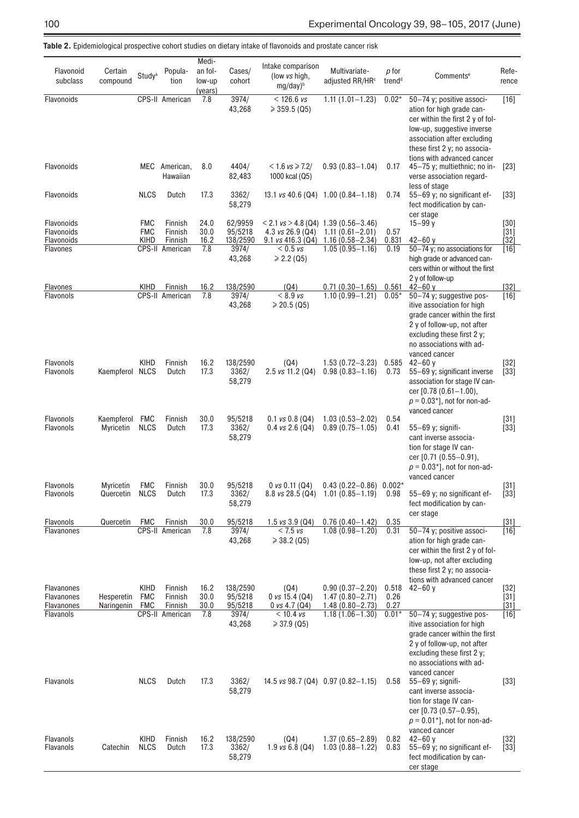| Flavonoid<br>subclass                         | Certain<br>compound      | Study <sup>a</sup>               | Popula-<br>tion               | Medi-<br>an fol-<br>low-up<br>(years) | Cases/<br>cohort               | Intake comparison<br>(low vs high,<br>$mg/day)^b$       | Multivariate-<br>adjusted RR/HR <sup>c</sup>                                           | p for<br>trend <sup>d</sup> | Comments <sup>e</sup>                                                                                                                                                                                            | Refe-<br>rence             |
|-----------------------------------------------|--------------------------|----------------------------------|-------------------------------|---------------------------------------|--------------------------------|---------------------------------------------------------|----------------------------------------------------------------------------------------|-----------------------------|------------------------------------------------------------------------------------------------------------------------------------------------------------------------------------------------------------------|----------------------------|
| Flavonoids                                    |                          |                                  | CPS-II American               | 7.8                                   | 3974/<br>43,268                | $< 126.6$ vs<br>$\geqslant$ 359.5 (Q5)                  | $1.11(1.01 - 1.23)$                                                                    | $0.02*$                     | 50-74 y; positive associ-<br>ation for high grade can-<br>cer within the first 2 y of fol-<br>low-up, suggestive inverse<br>association after excluding<br>these first 2 y; no associa-                          | $[16]$                     |
| Flavonoids                                    |                          |                                  | MEC American,<br>Hawaiian     | 8.0                                   | 4404/<br>82,483                | $< 1.6$ vs $\ge 7.2/$<br>1000 kcal (Q5)                 | $0.93(0.83 - 1.04)$                                                                    | 0.17                        | tions with advanced cancer<br>45-75 y; multiethnic; no in-<br>verse association regard-<br>less of stage                                                                                                         | $[23]$                     |
| Flavonoids                                    |                          | <b>NLCS</b>                      | Dutch                         | 17.3                                  | 3362/<br>58,279                |                                                         | 13.1 $\sqrt{3}$ 40.6 (Q4) 1.00 (0.84 - 1.18)                                           | 0.74                        | 55-69 y; no significant ef-<br>fect modification by can-<br>cer stage                                                                                                                                            | $[33]$                     |
| Flavonoids<br>Flavonoids<br>Flavonoids        |                          | <b>FMC</b><br><b>FMC</b><br>KIHD | Finnish<br>Finnish<br>Finnish | 24.0<br>30.0<br>16.2                  | 62/9959<br>95/5218<br>138/2590 | 4.3 $vs$ 26.9 (Q4)<br>$9.1$ vs 416.3 (Q4)               | $< 2.1$ vs $> 4.8$ (Q4) 1.39 (0.56-3.46)<br>$1.11(0.61 - 2.01)$<br>$1.16(0.58 - 2.34)$ | 0.57<br>0.831               | $15 - 99y$<br>$42 - 60$ y                                                                                                                                                                                        | $[30]$<br>$[31]$<br>$[32]$ |
| Flavones                                      |                          |                                  | CPS-II American               | 7.8                                   | 3974/<br>43,268                | $< 0.5$ vs<br>$\ge 2.2$ (Q5)                            | $1.05(0.95 - 1.16)$                                                                    | 0.19                        | 50-74 y; no associations for<br>high grade or advanced can-<br>cers within or without the first<br>2 y of follow-up                                                                                              | $[16]$                     |
| Flavones<br>Flavonols                         |                          | KIHD                             | Finnish<br>CPS-II American    | 16.2<br>7.8                           | 138/2590<br>3974/<br>43,268    | (Q4)<br>$< 8.9$ vs<br>$\geqslant$ 20.5 (Q5)             | $0.71(0.30 - 1.65)$<br>$1.10(0.99 - 1.21)$                                             | 0.561<br>$0.05*$            | $42 - 60$ v<br>50-74 y; suggestive pos-<br>itive association for high<br>grade cancer within the first<br>2 y of follow-up, not after<br>excluding these first 2 y;<br>no associations with ad-<br>vanced cancer | $[32]$<br>$[16]$           |
| Flavonols<br><b>Flavonols</b>                 | Kaempferol NLCS          | <b>KIHD</b>                      | Finnish<br>Dutch              | 16.2<br>17.3                          | 138/2590<br>3362/<br>58,279    | (Q4)<br>2.5 vs 11.2 (Q4)                                | $1.53(0.72 - 3.23)$<br>$0.98(0.83 - 1.16)$                                             | 0.585<br>0.73               | $42 - 60$ y<br>55-69 y; significant inverse<br>association for stage IV can-<br>cer [0.78 (0.61-1.00),<br>$p = 0.03$ <sup>*</sup> ], not for non-ad-<br>vanced cancer                                            | $[32]$<br>$[33]$           |
| <b>Flavonols</b><br>Flavonols                 | Kaempferol<br>Myricetin  | FMC<br><b>NLCS</b>               | Finnish<br>Dutch              | 30.0<br>17.3                          | 95/5218<br>3362/<br>58,279     | $0.1$ vs $0.8$ (Q4)<br>$0.4$ vs $2.6$ (Q4)              | $1.03(0.53 - 2.02)$<br>$0.89(0.75 - 1.05)$                                             | 0.54<br>0.41                | 55-69 y; signifi-<br>cant inverse associa-<br>tion for stage IV can-<br>cer [0.71 (0.55-0.91),<br>$p = 0.03$ <sup>*</sup> ], not for non-ad-<br>vanced cancer                                                    | $[31]$<br>$[33]$           |
| Flavonols<br>Flavonols                        | Myricetin<br>Quercetin   | <b>FMC</b><br><b>NLCS</b>        | Finnish<br>Dutch              | 30.0<br>17.3                          | 95/5218<br>3362/<br>58,279     | 0 vs 0.11 (Q4)<br>$8.8 \text{ vs } 28.5 \text{ (Q4)}$   | $0.43(0.22 - 0.86)0.002*$<br>$1.01(0.85 - 1.19)$                                       | 0.98                        | 55-69 y; no significant ef-<br>fect modification by can-                                                                                                                                                         | $[31]$<br>$[33]$           |
| Flavonols                                     | Quercetin                | <b>FMC</b>                       | Finnish                       | 30.0                                  | 95/5218                        | 1.5 $\sqrt{3}$ , 9 (Q4)                                 | $0.76(0.40 - 1.42)$                                                                    | 0.35                        | cer stage                                                                                                                                                                                                        | $[31]$                     |
| Flavanones                                    |                          |                                  | CPS-II American               | 7.8                                   | 3974/<br>43,268                | < 7.5 vs<br>$\geqslant$ 38.2 (Q5)                       | $1.08(0.98 - 1.20)$                                                                    | 0.31                        | 50-74 y; positive associ-<br>ation for high grade can-<br>cer within the first 2 y of fol-<br>low-up, not after excluding<br>these first 2 y; no associa-<br>tions with advanced cancer                          | $[16]$                     |
| Flavanones<br><b>Flavanones</b><br>Flavanones | Hesperetin<br>Naringenin | KIHD<br><b>FMC</b><br><b>FMC</b> | Finnish<br>Finnish<br>Finnish | 16.2<br>30.0<br>30.0                  | 138/2590<br>95/5218<br>95/5218 | (Q4)<br>0 $\sqrt{3}$ 15.4 (Q4)<br>0 $\sqrt{3}$ 4.7 (Q4) | $0.90(0.37 - 2.20)$<br>$1.47(0.80 - 2.71)$<br>$1.48(0.80 - 2.73)$                      | 0.518<br>0.26<br>0.27       | $42 - 60y$                                                                                                                                                                                                       | $[32]$<br>$[31]$<br>$[31]$ |
| Flavanols                                     |                          |                                  | CPS-II American               | 7.8                                   | 3974/<br>43,268                | $< 10.4$ vs<br>$\geq 37.9$ (Q5)                         | $1.18(1.06 - 1.30)$                                                                    | $0.01*$                     | 50-74 y; suggestive pos-<br>itive association for high<br>grade cancer within the first<br>2 y of follow-up, not after<br>excluding these first $2 y$ ;<br>no associations with ad-<br>vanced cancer             | $[16]$                     |
| Flavanols                                     |                          | <b>NLCS</b>                      | Dutch                         | 17.3                                  | 3362/<br>58,279                |                                                         | 14.5 vs 98.7 (Q4) $0.97$ (0.82-1.15)                                                   | 0.58                        | 55-69 y; signifi-<br>cant inverse associa-<br>tion for stage IV can-<br>cer [0.73 (0.57-0.95),<br>$p = 0.01$ <sup>*</sup> ], not for non-ad-<br>vanced cancer                                                    | $[33]$                     |
| Flavanols<br>Flavanols                        | Catechin                 | KIHD<br><b>NLCS</b>              | Finnish<br>Dutch              | 16.2<br>17.3                          | 138/2590<br>3362/<br>58,279    | (Q4)<br>1.9 $\sqrt{3}$ 6.8 (Q4)                         | $1.37(0.65 - 2.89)$<br>$1.03(0.88 - 1.22)$                                             | 0.82<br>0.83                | $42 - 60$ y<br>55-69 y; no significant ef-<br>fect modification by can-<br>cer stage                                                                                                                             | $[32]$<br>$[33]$           |

**Table 2.** Epidemiological prospective cohort studies on dietary intake of flavonoids and prostate cancer risk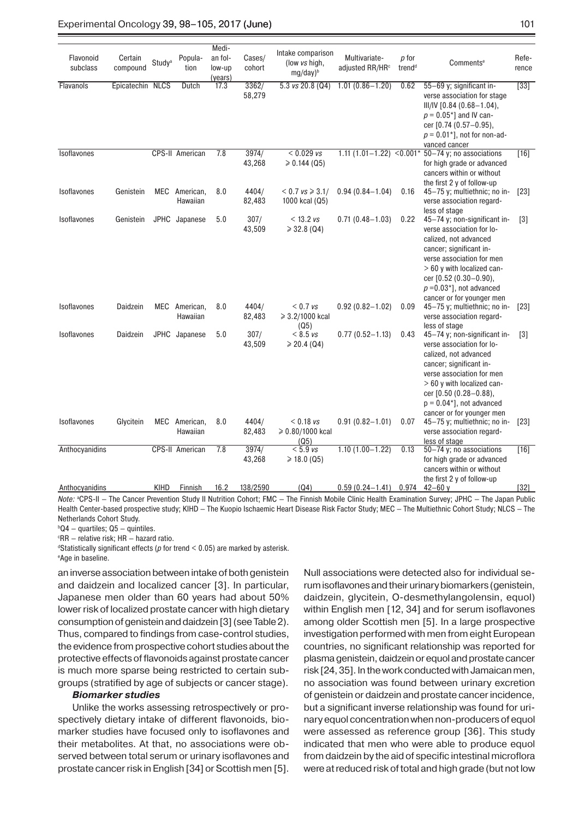#### Experimental Oncology 39, 98–105, 2017 (June) 101

| Flavonoid<br>subclass | Certain<br>compound | Study <sup>a</sup> | Popula-<br>tion           | Medi-<br>an fol-<br>low-up<br>(years) | Cases/<br>cohort | Intake comparison<br>(low vs high,<br>mg/day) <sup>b</sup> | Multivariate-<br>adjusted RR/HR <sup>c</sup> | p for<br>trend <sup>d</sup> | Comments <sup>e</sup>                                                                                                                                                                                                                                                      | Refe-<br>rence    |
|-----------------------|---------------------|--------------------|---------------------------|---------------------------------------|------------------|------------------------------------------------------------|----------------------------------------------|-----------------------------|----------------------------------------------------------------------------------------------------------------------------------------------------------------------------------------------------------------------------------------------------------------------------|-------------------|
| Flavanols             | Epicatechin NLCS    |                    | Dutch                     | 17.3                                  | 3362/<br>58,279  | $5.3$ vs 20.8 (Q4)                                         | $1.01(0.86 - 1.20)$                          | 0.62                        | 55-69 y; significant in-<br>verse association for stage<br>III/IV [0.84 (0.68-1.04),<br>$p = 0.05$ <sup>*</sup> ] and IV can-<br>cer [0.74 (0.57-0.95),<br>$p = 0.01$ <sup>*</sup> ], not for non-ad-<br>vanced cancer                                                     | $\overline{[33]}$ |
| Isoflavones           |                     |                    | CPS-II American           | 7.8                                   | 3974/<br>43,268  | $< 0.029$ vs<br>$\geqslant$ 0.144 (Q5)                     | $1.11(1.01 - 1.22)$                          |                             | $\leq$ 0.001* 50-74 y; no associations<br>for high grade or advanced<br>cancers within or without<br>the first 2 y of follow-up                                                                                                                                            | $[16]$            |
| Isoflavones           | Genistein           |                    | MEC American,<br>Hawaiian | 8.0                                   | 4404/<br>82,483  | $< 0.7$ vs ≥ 3.1/<br>1000 kcal (Q5)                        | $0.94(0.84 - 1.04)$                          | 0.16                        | 45-75 y; multiethnic; no in-<br>verse association regard-<br>less of stage                                                                                                                                                                                                 | [23]              |
| Isoflavones           | Genistein           |                    | JPHC Japanese             | 5.0                                   | 307/<br>43,509   | $< 13.2$ vs<br>$\geqslant$ 32.8 (Q4)                       | $0.71(0.48 - 1.03)$                          | 0.22                        | 45-74 y; non-significant in-<br>verse association for lo-<br>calized, not advanced<br>cancer; significant in-<br>verse association for men<br>> 60 y with localized can-<br>cer [0.52 (0.30-0.90),<br>$p = 0.03$ <sup>*</sup> ], not advanced<br>cancer or for younger men | $\lceil 3 \rceil$ |
| Isoflavones           | Daidzein            |                    | MEC American,<br>Hawaiian | 8.0                                   | 4404/<br>82,483  | $< 0.7$ vs<br>≥ 3.2/1000 kcal<br>(Q5)                      | $0.92(0.82 - 1.02)$                          | 0.09                        | 45-75 y; multiethnic; no in-<br>verse association regard-<br>less of stage                                                                                                                                                                                                 | $[23]$            |
| Isoflavones           | Daidzein            |                    | JPHC Japanese             | 5.0                                   | 307/<br>43,509   | $< 8.5$ vs<br>$\geqslant$ 20.4 (Q4)                        | $0.77(0.52 - 1.13)$                          | 0.43                        | 45-74 y; non-significant in-<br>verse association for lo-<br>calized, not advanced<br>cancer; significant in-<br>verse association for men<br>> 60 y with localized can-<br>cer [0.50 (0.28-0.88),<br>$p = 0.04$ <sup>*</sup> , not advanced<br>cancer or for younger men  | $[3]$             |
| Isoflavones           | Glycitein           |                    | MEC American,<br>Hawaiian | 8.0                                   | 4404/<br>82,483  | $< 0.18$ vs<br>≥ 0.80/1000 kcal<br>(Q5)                    | $0.91(0.82 - 1.01)$                          | 0.07                        | 45-75 y; multiethnic; no in-<br>verse association regard-<br>less of stage                                                                                                                                                                                                 | $[23]$            |
| Anthocyanidins        |                     |                    | CPS-II American           | 7.8                                   | 3974/<br>43,268  | $< 5.9$ vs<br>$\geq 18.0$ (Q5)                             | $1.10(1.00 - 1.22)$                          | 0.13                        | 50-74 y; no associations<br>for high grade or advanced<br>cancers within or without<br>the first 2 y of follow-up                                                                                                                                                          | $[16]$            |
| Anthocyanidins        |                     | KIHD               | Finnish                   | 16.2                                  | 138/2590         | (Q4)                                                       | $0.59(0.24 - 1.41)$                          | 0.974                       | $42 - 60y$                                                                                                                                                                                                                                                                 | $[32]$            |

*Note:* <sup>a</sup> CPS-II — The Cancer Prevention Study II Nutrition Cohort; FMC — The Finnish Mobile Clinic Health Examination Survey; JPHC — The Japan Public Health Center-based prospective study; KIHD — The Kuopio Ischaemic Heart Disease Risk Factor Study; MEC — The Multiethnic Cohort Study; NLCS — The Netherlands Cohort Study.

b Q4 — quartiles; Q5 — quintiles.

c RR — relative risk; HR — hazard ratio.

d Statistically significant effects (*p* for trend < 0.05) are marked by asterisk. e Age in baseline.

an inverse association between intake of both genistein and daidzein and localized cancer [3]. In particular, Japanese men older than 60 years had about 50% lower risk of localized prostate cancer with high dietary consumption of genistein and daidzein [3] (see Table2). Thus, compared to findings from case-control studies, the evidence from prospective cohort studies about the protective effects of flavonoids against prostate cancer is much more sparse being restricted to certain subgroups (stratified by age of subjects or cancer stage).

#### *Biomarker studies*

Unlike the works assessing retrospectively or prospectively dietary intake of different flavonoids, biomarker studies have focused only to isoflavones and their metabolites. At that, no associations were observed between total serum or urinary isoflavones and prostate cancer risk in English [34] or Scottish men [5].

Null associations were detected also for individual serum isoflavones and their urinary biomarkers (genistein, daidzein, glycitein, O-desmethylangolensin, equol) within English men [12, 34] and for serum isoflavones among older Scottish men [5]. In a large prospective investigation performed with men from eight European countries, no significant relationship was reported for plasma genistein, daidzein or equol and prostate cancer risk [24, 35]. In the work conducted with Jamaican men, no association was found between urinary excretion of genistein or daidzein and prostate cancer incidence, but a significant inverse relationship was found for urinary equol concentration when non-producers of equol were assessed as reference group [36]. This study indicated that men who were able to produce equol from daidzein by the aid of specific intestinal microflora were at reduced risk of total and high grade (but not low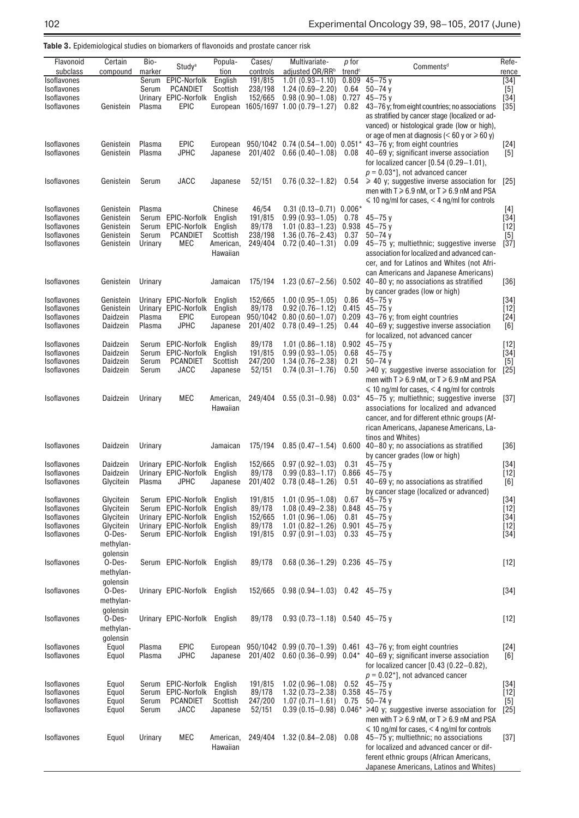| <b>Table 3.</b> Epidemiological studies on biomarkers of flavonoids and prostate cancer risk |  |  |
|----------------------------------------------------------------------------------------------|--|--|
|----------------------------------------------------------------------------------------------|--|--|

| Flavonoid<br>subclass             | Certain<br>compound  | Bio-<br>marker | Study <sup>a</sup>                           | Popula-<br>tion       | Cases/<br>controls | Multivariate-<br>adjusted OR/RR <sup>b</sup> | p for<br>trend <sup>c</sup> | Comments <sup>d</sup>                                                                                                                                                | Refe-<br>rence |
|-----------------------------------|----------------------|----------------|----------------------------------------------|-----------------------|--------------------|----------------------------------------------|-----------------------------|----------------------------------------------------------------------------------------------------------------------------------------------------------------------|----------------|
| Isoflavones                       |                      | Serum          | EPIC-Norfolk                                 | English               | 191/815            | $1.01(0.93 - 1.10)$                          | 0.809                       | $45 - 75$ y                                                                                                                                                          | $[34]$         |
| Isoflavones                       |                      | Serum          | <b>PCANDIET</b>                              | Scottish              | 238/198            | $1.24(0.69 - 2.20)$                          | 0.64                        | $50 - 74$ y                                                                                                                                                          | $[5]$          |
| Isoflavones                       |                      |                | Urinary EPIC-Norfolk                         | English               | 152/665            | $0.98(0.90 - 1.08)$                          | 0.727                       | $45 - 75$ y                                                                                                                                                          | $[34]$         |
| Isoflavones                       | Genistein            | Plasma         | <b>EPIC</b>                                  | European              |                    | 1605/1697 1.00 (0.79-1.27)                   | 0.82                        | 43–76 y; from eight countries; no associations                                                                                                                       | $[35]$         |
|                                   |                      |                |                                              |                       |                    |                                              |                             | as stratified by cancer stage (localized or ad-<br>vanced) or histological grade (low or high),<br>or age of men at diagnosis ( $< 60$ y or $\ge 60$ y)              |                |
| Isoflavones                       | Genistein            | Plasma         | <b>EPIC</b>                                  | European              |                    | 950/1042 0.74 (0.54-1.00) 0.051*             |                             | 43-76 y; from eight countries                                                                                                                                        | $[24]$         |
| Isoflavones                       | Genistein            | Plasma         | <b>JPHC</b>                                  | Japanese              | 201/402            | $0.66(0.40-1.08)$ 0.08                       |                             | 40-69 y; significant inverse association                                                                                                                             | $[5]$          |
|                                   |                      |                |                                              |                       |                    |                                              |                             | for localized cancer $[0.54 (0.29 - 1.01)]$                                                                                                                          |                |
|                                   |                      |                |                                              |                       |                    |                                              |                             | $p = 0.03$ <sup>*</sup> ], not advanced cancer                                                                                                                       |                |
| Isoflavones                       | Genistein            | Serum          | <b>JACC</b>                                  | Japanese              | 52/151             | $0.76(0.32 - 1.82)$                          | 0.54                        | $\geqslant$ 40 y; suggestive inverse association for<br>men with $T \ge 6.9$ nM, or $T \ge 6.9$ nM and PSA<br>$\leq 10$ ng/ml for cases, $\leq 4$ ng/ml for controls | [25]           |
| <b>Isoflavones</b>                | Genistein            | Plasma         |                                              | Chinese               | 46/54              | $0.31(0.13 - 0.71)0.006*$                    |                             |                                                                                                                                                                      | $[4]$          |
| Isoflavones                       | Genistein            |                | Serum EPIC-Norfolk                           | English               | 191/815            | $0.99(0.93 - 1.05)$                          | 0.78                        | $45 - 75$ y                                                                                                                                                          | $[34]$         |
| Isoflavones                       | Genistein            |                | Serum EPIC-Norfolk                           | English               | 89/178             | $1.01(0.83 - 1.23)$                          | 0.938                       | $45 - 75$ y                                                                                                                                                          | $[12]$         |
| Isoflavones                       | Genistein            | Serum          | <b>PCANDIET</b>                              | Scottish              | 238/198            | $1.36(0.76 - 2.43)$                          | 0.37                        | $50 - 74$ y                                                                                                                                                          | [5]            |
| Isoflavones                       | Genistein            | Urinary        | MEC                                          | American,<br>Hawaiian | 249/404            | $0.72(0.40-1.31)$                            | 0.09                        | 45-75 y; multiethnic; suggestive inverse<br>association for localized and advanced can-                                                                              | $[37]$         |
|                                   |                      |                |                                              |                       |                    |                                              |                             |                                                                                                                                                                      |                |
|                                   |                      |                |                                              |                       |                    |                                              |                             | cer, and for Latinos and Whites (not Afri-<br>can Americans and Japanese Americans)                                                                                  |                |
| Isoflavones                       | Genistein            | Urinary        |                                              | Jamaican              | 175/194            |                                              |                             | 1.23 $(0.67 - 2.56)$ 0.502 40-80 y; no associations as stratified                                                                                                    | $[36]$         |
|                                   |                      |                |                                              |                       |                    |                                              |                             | by cancer grades (low or high)                                                                                                                                       |                |
| Isoflavones                       | Genistein            |                | Urinary EPIC-Norfolk                         | English               | 152/665            | $1.00(0.95 - 1.05)$                          | 0.86                        | $45 - 75$ v                                                                                                                                                          | [34]           |
| Isoflavones                       | Genistein            |                | Urinary EPIC-Norfolk                         | English               | 89/178             | $0.92(0.76 - 1.12)$                          | 0.415                       | $45 - 75$ y                                                                                                                                                          | $[12]$         |
| Isoflavones                       | Daidzein             | Plasma         | <b>EPIC</b>                                  | European              |                    | $950/1042$ 0.80 (0.60-1.07)                  |                             | 0.209 43-76 y; from eight countries                                                                                                                                  | $[24]$         |
| Isoflavones                       | Daidzein             | Plasma         | JPHC                                         | Japanese              | 201/402            | $0.78(0.49 - 1.25)$                          | 0.44                        | 40-69 y; suggestive inverse association                                                                                                                              | [6]            |
|                                   |                      |                |                                              |                       |                    |                                              |                             | for localized, not advanced cancer                                                                                                                                   |                |
| Isoflavones                       | Daidzein             |                | Serum EPIC-Norfolk                           | English               | 89/178             | $1.01(0.86 - 1.18)$                          |                             | $0.902$ 45-75 y                                                                                                                                                      | $[12]$         |
| Isoflavones<br>Isoflavones        | Daidzein<br>Daidzein | Serum<br>Serum | EPIC-Norfolk<br><b>PCANDIET</b>              | English<br>Scottish   | 191/815<br>247/200 | $0.99(0.93 - 1.05)$<br>$1.34(0.76 - 2.38)$   | 0.68<br>0.21                | $45 - 75$ y<br>$50 - 74$ y                                                                                                                                           | [34]<br>$[5]$  |
| Isoflavones                       | Daidzein             | Serum          | JACC                                         | Japanese              | 52/151             | $0.74(0.31 - 1.76)$                          | 0.50                        | $\geq 40$ y; suggestive inverse association for                                                                                                                      | $[25]$         |
|                                   |                      |                |                                              |                       |                    |                                              |                             | men with $T \ge 6.9$ nM, or $T \ge 6.9$ nM and PSA                                                                                                                   |                |
|                                   |                      |                |                                              |                       |                    |                                              |                             | $\leq 10$ ng/ml for cases, $\leq 4$ ng/ml for controls                                                                                                               |                |
| Isoflavones                       | Daidzein             | Urinary        | <b>MEC</b>                                   | American,             | 249/404            | $0.55(0.31 - 0.98)$                          | $0.03*$                     | 45-75 y; multiethnic; suggestive inverse                                                                                                                             | $[37]$         |
|                                   |                      |                |                                              | Hawaiian              |                    |                                              |                             | associations for localized and advanced                                                                                                                              |                |
|                                   |                      |                |                                              |                       |                    |                                              |                             | cancer, and for different ethnic groups (Af-                                                                                                                         |                |
|                                   |                      |                |                                              |                       |                    |                                              |                             | rican Americans, Japanese Americans, La-                                                                                                                             |                |
|                                   |                      |                |                                              |                       |                    |                                              |                             | tinos and Whites)                                                                                                                                                    |                |
| Isoflavones                       | Daidzein             | Urinary        |                                              | Jamaican              | 175/194            |                                              |                             | $0.85(0.47 - 1.54)$ 0.600 40-80 y; no associations as stratified                                                                                                     | $[36]$         |
|                                   |                      |                |                                              |                       |                    |                                              |                             | by cancer grades (low or high)                                                                                                                                       |                |
| <b>Isoflavones</b><br>Isoflavones | Daidzein<br>Daidzein |                | Urinary EPIC-Norfolk<br>Urinary EPIC-Norfolk | English<br>English    | 152/665<br>89/178  | $0.97(0.92 - 1.03)$<br>$0.99(0.83 - 1.17)$   | 0.31                        | $45 - 75$ y<br>$0.866$ 45-75 y                                                                                                                                       | $[34]$         |
| Isoflavones                       | Glycitein            | Plasma         | JPHC                                         | Japanese              | 201/402            | $0.78(0.48 - 1.26)$                          | 0.51                        | 40–69 y; no associations as stratified                                                                                                                               | $[12]$<br>[6]  |
|                                   |                      |                |                                              |                       |                    |                                              |                             | by cancer stage (localized or advanced)                                                                                                                              |                |
| <b>Isoflavones</b>                | Glycitein            |                | Serum EPIC-Norfolk English                   |                       | 191/815            | $1.01(0.95 - 1.08)$                          | 0.67                        | $45 - 75$ y                                                                                                                                                          | $[34]$         |
| Isoflavones                       | Glycitein            |                | Serum EPIC-Norfolk English                   |                       |                    | 89/178  1.08 (0.49-2.38)  0.848  45-75 y     |                             |                                                                                                                                                                      | [12]           |
| Isoflavones                       | Glycitein            |                | Urinary EPIC-Norfolk English                 |                       | 152/665            | 1.01 $(0.96-1.06)$ 0.81 45-75 y              |                             |                                                                                                                                                                      | $[34]$         |
| Isoflavones                       | Glycitein            |                | Urinary EPIC-Norfolk                         | English               | 89/178             | 1.01 (0.82-1.26) 0.901 45-75 y               |                             |                                                                                                                                                                      | $[12]$         |
| Isoflavones                       | O-Des-               |                | Serum EPIC-Norfolk                           | English               | 191/815            | $0.97(0.91-1.03)$ $0.33$ $45-75$ y           |                             |                                                                                                                                                                      | $[34]$         |
|                                   | methylan-            |                |                                              |                       |                    |                                              |                             |                                                                                                                                                                      |                |
|                                   | golensin             |                |                                              |                       |                    | $0.68(0.36-1.29)$ 0.236 45-75 y              |                             |                                                                                                                                                                      |                |
| Isoflavones                       | O-Des-<br>methylan-  |                | Serum EPIC-Norfolk English                   |                       | 89/178             |                                              |                             |                                                                                                                                                                      | $[12]$         |
|                                   | qolensin             |                |                                              |                       |                    |                                              |                             |                                                                                                                                                                      |                |
| Isoflavones                       | O-Des-               |                | Urinary EPIC-Norfolk English                 |                       | 152/665            | $0.98(0.94-1.03)$ 0.42 45-75 y               |                             |                                                                                                                                                                      | $[34]$         |
|                                   | methylan-            |                |                                              |                       |                    |                                              |                             |                                                                                                                                                                      |                |
|                                   | golensin             |                |                                              |                       |                    |                                              |                             |                                                                                                                                                                      |                |
| <b>Isoflavones</b>                | O-Des-               |                | Urinary EPIC-Norfolk English                 |                       | 89/178             | $0.93(0.73 - 1.18)$ 0.540 45-75 y            |                             |                                                                                                                                                                      | $[12]$         |
|                                   | methylan-            |                |                                              |                       |                    |                                              |                             |                                                                                                                                                                      |                |
|                                   | qolensin             |                |                                              |                       |                    |                                              |                             |                                                                                                                                                                      |                |
| <b>Isoflavones</b>                | Equol                | Plasma         | <b>EPIC</b>                                  | European              |                    |                                              |                             | 950/1042 $0.99(0.70-1.39)$ 0.461 43-76 y; from eight countries                                                                                                       | $[24]$         |
| Isoflavones                       | Equol                | Plasma         | JPHC                                         | Japanese              |                    |                                              |                             | 201/402  0.60 (0.36-0.99)  0.04*  40-69 y; significant inverse association                                                                                           | [6]            |
|                                   |                      |                |                                              |                       |                    |                                              |                             | for localized cancer $[0.43 (0.22 - 0.82)]$                                                                                                                          |                |
|                                   |                      |                |                                              |                       |                    |                                              |                             | $p = 0.02$ <sup>*</sup> ], not advanced cancer                                                                                                                       |                |
| Isoflavones                       | Equol                |                | Serum EPIC-Norfolk                           | English               | 191/815            | $1.02(0.96 - 1.08)$                          |                             | $0.52$ 45-75 y                                                                                                                                                       | $[34]$         |
| Isoflavones                       | Equol                |                | Serum EPIC-Norfolk                           | English               | 89/178             | 1.32 (0.73-2.38) $0.358$ 45-75 y             |                             |                                                                                                                                                                      | $[12]$         |
| Isoflavones                       | Equol                | Serum          | <b>PCANDIET</b>                              | Scottish              | 247/200            | $1.07(0.71 - 1.61)$                          | 0.75                        | $50 - 74$ y                                                                                                                                                          | $[5]$          |
| Isoflavones                       | Equol                | Serum          | JACC                                         | Japanese              | 52/151             |                                              |                             | 0.39 (0.15-0.98) 0.046* $\geq 40$ y; suggestive inverse association for                                                                                              | $[25]$         |
|                                   |                      |                |                                              |                       |                    |                                              |                             | men with $T \ge 6.9$ nM, or $T \ge 6.9$ nM and PSA<br>$\leq 10$ ng/ml for cases, $\leq 4$ ng/ml for controls                                                         |                |
| Isoflavones                       | Equol                | Urinary        | MEC                                          | American,             |                    | 249/404 1.32 (0.84-2.08)                     | 0.08                        | $45-75$ y; multiethnic; no associations                                                                                                                              | $[37]$         |
|                                   |                      |                |                                              | Hawaiian              |                    |                                              |                             | for localized and advanced cancer or dif-                                                                                                                            |                |
|                                   |                      |                |                                              |                       |                    |                                              |                             | ferent ethnic groups (African Americans,                                                                                                                             |                |
|                                   |                      |                |                                              |                       |                    |                                              |                             | Japanese Americans, Latinos and Whites)                                                                                                                              |                |
|                                   |                      |                |                                              |                       |                    |                                              |                             |                                                                                                                                                                      |                |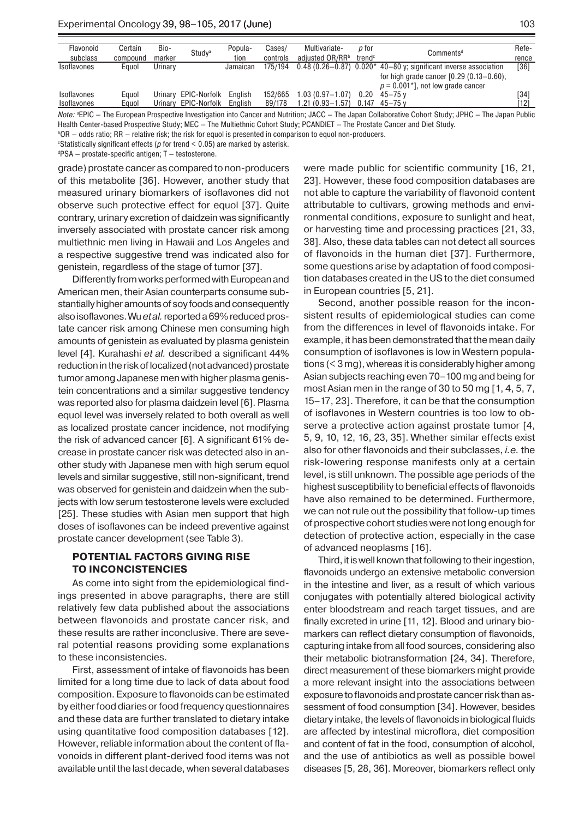| Flavonoid          | Certain  | Bio-    | Study <sup>a</sup>   | Popula-  | Cases/   | Multivariate-       | p for              | Comments <sup>d</sup>                                                                            | Refe-  |
|--------------------|----------|---------|----------------------|----------|----------|---------------------|--------------------|--------------------------------------------------------------------------------------------------|--------|
| subclass           | compound | marker  |                      | tion     | controls | adiusted OR/RRb     | trend <sup>c</sup> |                                                                                                  | rence  |
| <b>Isoflavones</b> | Eauol    | Urinary |                      | Jamaican | 175/194  |                     |                    | $0.48$ (0.26–0.87) $0.020*$ 40–80 y; significant inverse association                             | $[36]$ |
|                    |          |         |                      |          |          |                     |                    | for high grade cancer $[0.29 (0.13 - 0.60)]$                                                     |        |
|                    |          |         |                      |          |          |                     |                    | $p = 0.001$ *], not low grade cancer                                                             |        |
| Isoflavones        | Eauol    | Urinary | EPIC-Norfolk         | Enalish  | 152/665  | $1.03(0.97 - 1.07)$ | 0.20               | $45 - 75$ v                                                                                      | [34]   |
| Isoflavones        | Eauol    |         | Urinary EPIC-Norfolk | Enalish  | 89/178   | $1.21(0.93 - 1.57)$ |                    | $0.147$ 45-75 v                                                                                  | [12]   |
| $\mathbf{A}$       |          |         |                      |          |          |                     |                    | THE RESERVED OF THE SPECIFIC ACCESS IN LAST HAOUTH LESS ATHLES AT LONG AT THE INTO THE LOSS REPO |        |

*Note:* <sup>a</sup> EPIC — The European Prospective Investigation into Cancer and Nutrition; JACC — The Japan Collaborative Cohort Study; JPHC — The Japan Public Health Center-based Prospective Study; MEC — The Multiethnic Cohort Study; PCANDIET — The Prostate Cancer and Diet Study.

 $^{\rm b}$ OR – odds ratio; RR – relative risk; the risk for equol is presented in comparison to equol non-producers. c Statistically significant effects (*p* for trend < 0.05) are marked by asterisk.

d PSA — prostate-specific antigen; T — testosterone.

grade) prostate cancer as compared to non-producers of this metabolite [36]. However, another study that measured urinary biomarkers of isoflavones did not observe such protective effect for equol [37]. Quite contrary, urinary excretion of daidzein was significantly inversely associated with prostate cancer risk among multiethnic men living in Hawaii and Los Angeles and a respective suggestive trend was indicated also for genistein, regardless of the stage of tumor [37].

Differently from works performed with European and American men, their Asian counterparts consume substantially higher amounts of soy foods and consequently also isoflavones. Wu *et al.* reported a 69% reduced prostate cancer risk among Chinese men consuming high amounts of genistein as evaluated by plasma genistein level [4]. Kurahashi *et al.* described a significant 44% reduction in the risk of localized (not advanced) prostate tumor among Japanese men with higher plasma genistein concentrations and a similar suggestive tendency was reported also for plasma daidzein level [6]. Plasma equol level was inversely related to both overall as well as localized prostate cancer incidence, not modifying the risk of advanced cancer [6]. A significant 61% decrease in prostate cancer risk was detected also in another study with Japanese men with high serum equol levels and similar suggestive, still non-significant, trend was observed for genistein and daidzein when the subjects with low serum testosterone levels were excluded [25]. These studies with Asian men support that high doses of isoflavones can be indeed preventive against prostate cancer development (see Table 3).

#### **POTENTIAL FACTORS GIVING RISE TO INCONCISTENCIES**

As come into sight from the epidemiological findings presented in above paragraphs, there are still relatively few data published about the associations between flavonoids and prostate cancer risk, and these results are rather inconclusive. There are several potential reasons providing some explanations to these inconsistencies.

First, assessment of intake of flavonoids has been limited for a long time due to lack of data about food composition. Exposure to flavonoids can be estimated by either food diaries or food frequency questionnaires and these data are further translated to dietary intake using quantitative food composition databases [12]. However, reliable information about the content of flavonoids in different plant-derived food items was not available until the last decade, when several databases

were made public for scientific community [16, 21, 23]. However, these food composition databases are not able to capture the variability of flavonoid content attributable to cultivars, growing methods and environmental conditions, exposure to sunlight and heat, or harvesting time and processing practices [21, 33, 38]. Also, these data tables can not detect all sources of flavonoids in the human diet [37]. Furthermore, some questions arise by adaptation of food composition databases created in the US to the diet consumed in European countries [5, 21].

Second, another possible reason for the inconsistent results of epidemiological studies can come from the differences in level of flavonoids intake. For example, it has been demonstrated that the mean daily consumption of isoflavones is low in Western populations  $(<$  3 mg), whereas it is considerably higher among Asian subjects reaching even 70–100 mg and being for most Asian men in the range of 30 to 50 mg [1, 4, 5, 7, 15–17, 23]. Therefore, it can be that the consumption of isoflavones in Western countries is too low to observe a protective action against prostate tumor [4, 5, 9, 10, 12, 16, 23, 35]. Whether similar effects exist also for other flavonoids and their subclasses, *i.e.* the risk-lowering response manifests only at a certain level, is still unknown. The possible age periods of the highest susceptibility to beneficial effects of flavonoids have also remained to be determined. Furthermore, we can not rule out the possibility that follow-up times of prospective cohort studies were not long enough for detection of protective action, especially in the case of advanced neoplasms [16].

Third, it is well known that following to their ingestion, flavonoids undergo an extensive metabolic conversion in the intestine and liver, as a result of which various conjugates with potentially altered biological activity enter bloodstream and reach target tissues, and are finally excreted in urine [11, 12]. Blood and urinary biomarkers can reflect dietary consumption of flavonoids, capturing intake from all food sources, considering also their metabolic biotransformation [24, 34]. Therefore, direct measurement of these biomarkers might provide a more relevant insight into the associations between exposure to flavonoids and prostate cancer risk than assessment of food consumption [34]. However, besides dietary intake, the levels of flavonoids in biological fluids are affected by intestinal microflora, diet composition and content of fat in the food, consumption of alcohol, and the use of antibiotics as well as possible bowel diseases [5, 28, 36]. Moreover, biomarkers reflect only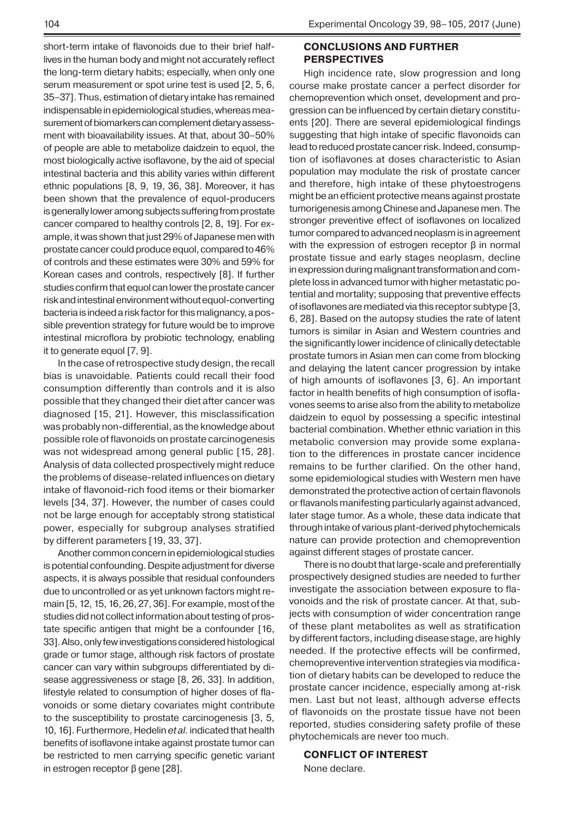short-term intake of flavonoids due to their brief halflives in the human body and might not accurately reflect the long-term dietary habits; especially, when only one serum measurement or spot urine test is used [2, 5, 6, 35–37]. Thus, estimation of dietary intake has remained indispensable in epidemiological studies, whereas measurement of biomarkers can complement dietary assessment with bioavailability issues. At that, about 30–50% of people are able to metabolize daidzein to equol, the most biologically active isoflavone, by the aid of special intestinal bacteria and this ability varies within different ethnic populations [8, 9, 19, 36, 38]. Moreover, it has been shown that the prevalence of equol-producers is generally lower among subjects suffering from prostate cancer compared to healthy controls [2, 8, 19]. For example, it was shown that just 29% of Japanese men with prostate cancer could produce equol, compared to 46% of controls and these estimates were 30% and 59% for Korean cases and controls, respectively [8]. If further studies confirm that equol can lower the prostate cancer risk and intestinal environment without equol-converting bacteria is indeed a risk factor for this malignancy, a possible prevention strategy for future would be to improve intestinal microflora by probiotic technology, enabling it to generate equol [7, 9].

In the case of retrospective study design, the recall bias is unavoidable. Patients could recall their food consumption differently than controls and it is also possible that they changed their diet after cancer was diagnosed [15, 21]. However, this misclassification was probably non-differential, as the knowledge about possible role of flavonoids on prostate carcinogenesis was not widespread among general public [15, 28]. Analysis of data collected prospectively might reduce the problems of disease-related influences on dietary intake of flavonoid-rich food items or their biomarker levels [34, 37]. However, the number of cases could not be large enough for acceptably strong statistical power, especially for subgroup analyses stratified by different parameters [19, 33, 37].

Another common concern in epidemiological studies is potential confounding. Despite adjustment for diverse aspects, it is always possible that residual confounders due to uncontrolled or as yet unknown factors might remain [5, 12, 15, 16, 26, 27, 36]. For example, most of the studies did not collect information about testing of prostate specific antigen that might be a confounder [16, 33]. Also, only few investigations considered histological grade or tumor stage, although risk factors of prostate cancer can vary within subgroups differentiated by disease aggressiveness or stage [8, 26, 33]. In addition, lifestyle related to consumption of higher doses of flavonoids or some dietary covariates might contribute to the susceptibility to prostate carcinogenesis [3, 5, 10, 16]. Furthermore, Hedelin *et al.* indicated that health benefits of isoflavone intake against prostate tumor can be restricted to men carrying specific genetic variant in estrogen receptor β gene [28].

### **CONCLUSIONS AND FURTHER PERSPECTIVES**

High incidence rate, slow progression and long course make prostate cancer a perfect disorder for chemoprevention which onset, development and progression can be influenced by certain dietary constituents [20]. There are several epidemiological findings suggesting that high intake of specific flavonoids can lead to reduced prostate cancer risk. Indeed, consumption of isoflavones at doses characteristic to Asian population may modulate the risk of prostate cancer and therefore, high intake of these phytoestrogens might be an efficient protective means against prostate tumorigenesis among Chinese and Japanese men. The stronger preventive effect of isoflavones on localized tumor compared to advanced neoplasm is in agreement with the expression of estrogen receptor  $β$  in normal prostate tissue and early stages neoplasm, decline in expression during malignant transformation and complete loss in advanced tumor with higher metastatic potential and mortality; supposing that preventive effects of isoflavones are mediated via this receptor subtype [3, 6, 28]. Based on the autopsy studies the rate of latent tumors is similar in Asian and Western countries and the significantly lower incidence of clinically detectable prostate tumors in Asian men can come from blocking and delaying the latent cancer progression by intake of high amounts of isoflavones [3, 6]. An important factor in health benefits of high consumption of isoflavones seems to arise also from the ability to metabolize daidzein to equol by possessing a specific intestinal bacterial combination. Whether ethnic variation in this metabolic conversion may provide some explanation to the differences in prostate cancer incidence remains to be further clarified. On the other hand, some epidemiological studies with Western men have demonstrated the protective action of certain flavonols or flavanols manifesting particularly against advanced, later stage tumor. As a whole, these data indicate that through intake of various plant-derived phytochemicals nature can provide protection and chemoprevention against different stages of prostate cancer.

There is no doubt that large-scale and preferentially prospectively designed studies are needed to further investigate the association between exposure to flavonoids and the risk of prostate cancer. At that, subjects with consumption of wider concentration range of these plant metabolites as well as stratification by different factors, including disease stage, are highly needed. If the protective effects will be confirmed, chemopreventive intervention strategies via modification of dietary habits can be developed to reduce the prostate cancer incidence, especially among at-risk men. Last but not least, although adverse effects of flavonoids on the prostate tissue have not been reported, studies considering safety profile of these phytochemicals are never too much.

#### **CONFLICT OF INTEREST**

None declare.